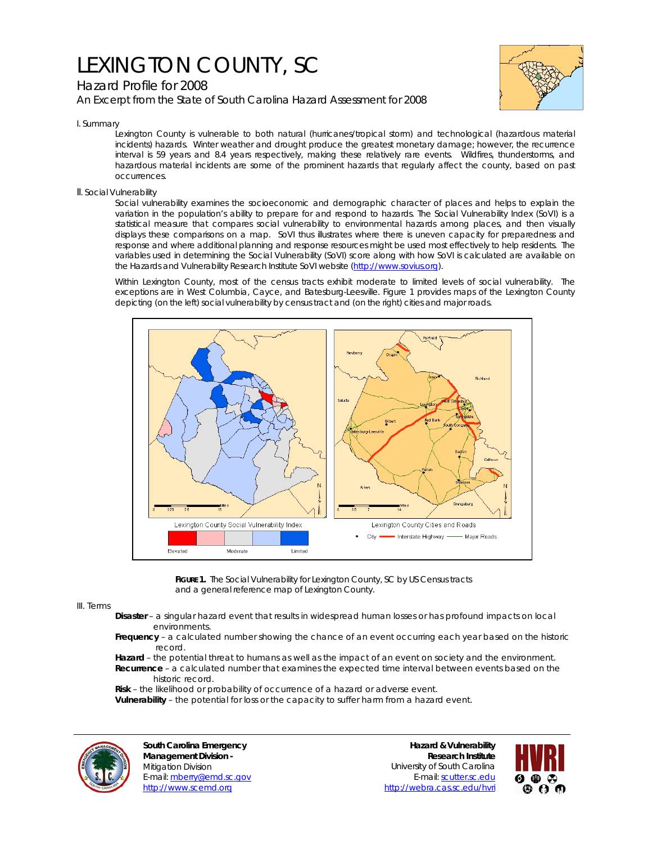# LEXINGTON COUNTY, SC

# Hazard Profile for 2008

*An Excerpt from the State of South Carolina Hazard Assessment for 2008*



I. Summary

Lexington County is vulnerable to both natural (hurricanes/tropical storm) and technological (hazardous material incidents) hazards. Winter weather and drought produce the greatest monetary damage; however, the recurrence interval is 59 years and 8.4 years respectively, making these relatively rare events. Wildfires, thunderstorms, and hazardous material incidents are some of the prominent hazards that regularly affect the county, based on past occurrences.

### II. Social Vulnerability

Social vulnerability examines the socioeconomic and demographic character of places and helps to explain the variation in the population's ability to prepare for and respond to hazards. The Social Vulnerability Index (SoVI) is a statistical measure that compares social vulnerability to environmental hazards among places, and then visually displays these comparisons on a map. SoVI thus illustrates where there is uneven capacity for preparedness and response and where additional planning and response resources might be used most effectively to help residents. The variables used in determining the Social Vulnerability (SoVI) score along with how SoVI is calculated are available on the Hazards and Vulnerability Research Institute SoVI website (http://www.sovius.org).

Within Lexington County, most of the census tracts exhibit moderate to limited levels of social vulnerability. The exceptions are in West Columbia, Cayce, and Batesburg-Leesville. Figure 1 provides maps of the Lexington County depicting (on the left) social vulnerability by census tract and (on the right) cities and major roads.



FIGURE 1. The Social Vulnerability for Lexington County, SC by US Census tracts and a general reference map of Lexington County.

#### III. Terms

- **Disaster** a singular hazard event that results in widespread human losses or has profound impacts on local environments.
- **Frequency** a calculated number showing the chance of an event occurring each year based on the historic record.
- **Hazard** the potential threat to humans as well as the impact of an event on society and the environment.  **Recurrence** – a calculated number that examines the expected time interval between events based on the historic record.
- **Risk** the likelihood or probability of occurrence of a hazard or adverse event.

 **Vulnerability** – the potential for loss or the capacity to suffer harm from a hazard event.



**South Carolina Emergency Management Division -**  Mitigation Division E-mail: mberry@emd.sc.gov http://www.scemd.org

**Hazard & Vulnerability Research Institute**  University of South Carolina E-mail: scutter.sc.edu http://webra.cas.sc.edu/hvri

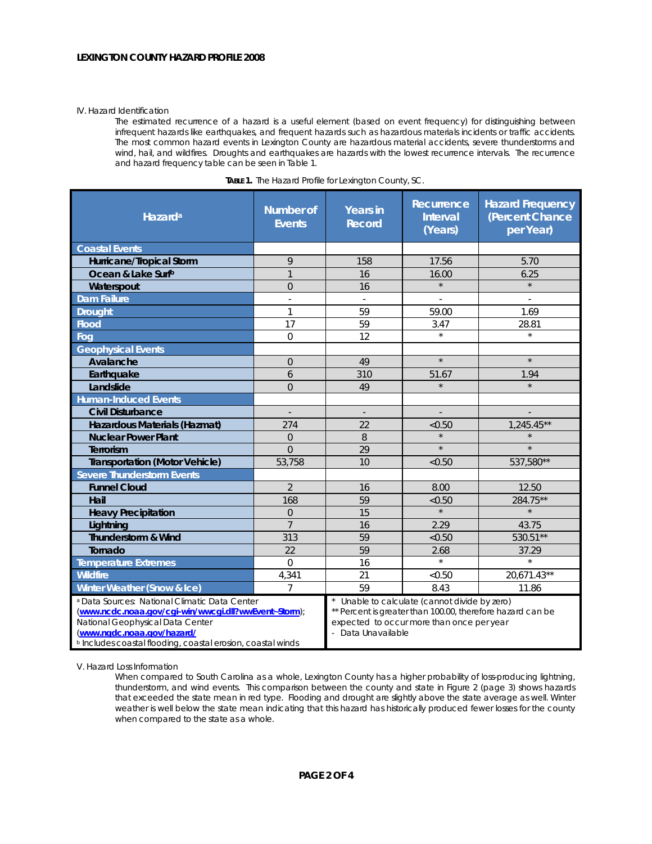#### IV. Hazard Identification

The estimated recurrence of a hazard is a useful element (based on event frequency) for distinguishing between infrequent hazards like earthquakes, and frequent hazards such as hazardous materials incidents or traffic accidents. The most common hazard events in Lexington County are hazardous material accidents, severe thunderstorms and wind, hail, and wildfires. Droughts and earthquakes are hazards with the lowest recurrence intervals. The recurrence and hazard frequency table can be seen in Table 1.

| Hazard <sup>a</sup>                                                                                                                                                                                                                                          | <b>Number of</b><br><b>Events</b> | <b>Years in</b><br><b>Record</b>                                                                                                                                             | Recurrence<br><b>Interval</b><br>(Years) | <b>Hazard Frequency</b><br>(Percent Chance<br>per Year) |
|--------------------------------------------------------------------------------------------------------------------------------------------------------------------------------------------------------------------------------------------------------------|-----------------------------------|------------------------------------------------------------------------------------------------------------------------------------------------------------------------------|------------------------------------------|---------------------------------------------------------|
| <b>Coastal Events</b>                                                                                                                                                                                                                                        |                                   |                                                                                                                                                                              |                                          |                                                         |
| Hurricane/Tropical Storm                                                                                                                                                                                                                                     | 9                                 | 158                                                                                                                                                                          | 17.56                                    | 5.70                                                    |
| Ocean & Lake Surfb                                                                                                                                                                                                                                           | $\mathbf{1}$                      | 16                                                                                                                                                                           | 16.00                                    | 6.25                                                    |
| Waterspout                                                                                                                                                                                                                                                   | $\overline{0}$                    | 16                                                                                                                                                                           | $\star$                                  | $\star$                                                 |
| <b>Dam Failure</b>                                                                                                                                                                                                                                           | $\sim$                            | ÷                                                                                                                                                                            |                                          |                                                         |
| <b>Drought</b>                                                                                                                                                                                                                                               | $\mathbf{1}$                      | 59                                                                                                                                                                           | 59.00                                    | 1.69                                                    |
| <b>Flood</b>                                                                                                                                                                                                                                                 | 17                                | 59                                                                                                                                                                           | 3.47                                     | 28.81                                                   |
| Fog                                                                                                                                                                                                                                                          | $\overline{0}$                    | 12                                                                                                                                                                           | $\star$                                  | $\star$                                                 |
| <b>Geophysical Events</b>                                                                                                                                                                                                                                    |                                   |                                                                                                                                                                              |                                          |                                                         |
| Avalanche                                                                                                                                                                                                                                                    | $\overline{0}$                    | 49                                                                                                                                                                           | $\star$                                  | $\star$                                                 |
| Earthquake                                                                                                                                                                                                                                                   | 6                                 | 310                                                                                                                                                                          | 51.67                                    | 1.94                                                    |
| Landslide                                                                                                                                                                                                                                                    | $\Omega$                          | 49                                                                                                                                                                           | $\star$                                  | $\star$                                                 |
| <b>Human-Induced Events</b>                                                                                                                                                                                                                                  |                                   |                                                                                                                                                                              |                                          |                                                         |
| <b>Civil Disturbance</b>                                                                                                                                                                                                                                     | $\overline{\phantom{a}}$          | $\overline{\phantom{a}}$                                                                                                                                                     |                                          |                                                         |
| Hazardous Materials (Hazmat)                                                                                                                                                                                                                                 | 274                               | 22                                                                                                                                                                           | < 0.50                                   | 1,245.45**                                              |
| <b>Nuclear Power Plant</b>                                                                                                                                                                                                                                   | $\overline{0}$                    | 8                                                                                                                                                                            | $\star$                                  |                                                         |
| Terrorism                                                                                                                                                                                                                                                    | $\Omega$                          | 29                                                                                                                                                                           | $\star$                                  | $\star$                                                 |
| <b>Transportation (Motor Vehicle)</b>                                                                                                                                                                                                                        | 53,758                            | 10                                                                                                                                                                           | < 0.50                                   | 537,580**                                               |
| <b>Severe Thunderstorm Events</b>                                                                                                                                                                                                                            |                                   |                                                                                                                                                                              |                                          |                                                         |
| <b>Funnel Cloud</b>                                                                                                                                                                                                                                          | $\overline{2}$                    | 16                                                                                                                                                                           | 8.00                                     | 12.50                                                   |
| Hail                                                                                                                                                                                                                                                         | 168                               | 59                                                                                                                                                                           | < 0.50                                   | 284.75**                                                |
| <b>Heavy Precipitation</b>                                                                                                                                                                                                                                   | $\Omega$                          | 15                                                                                                                                                                           | $\star$                                  | $\star$                                                 |
| Lightning                                                                                                                                                                                                                                                    | $\overline{7}$                    | 16                                                                                                                                                                           | 2.29                                     | 43.75                                                   |
| Thunderstorm & Wind                                                                                                                                                                                                                                          | 313                               | 59                                                                                                                                                                           | < 0.50                                   | 530.51**                                                |
| Tornado                                                                                                                                                                                                                                                      | 22                                | 59                                                                                                                                                                           | 2.68                                     | 37.29                                                   |
| <b>Temperature Extremes</b>                                                                                                                                                                                                                                  | $\Omega$                          | 16                                                                                                                                                                           | $\star$                                  | $\star$                                                 |
| <b>Wildfire</b>                                                                                                                                                                                                                                              | 4,341                             | 21                                                                                                                                                                           | < 0.50                                   | 20,671.43**                                             |
| Winter Weather (Snow & Ice)                                                                                                                                                                                                                                  | $\overline{7}$                    | 59                                                                                                                                                                           | 8.43                                     | 11.86                                                   |
| <sup>a</sup> Data Sources: National Climatic Data Center<br>(www.ncdc.noaa.gov/cgi-win/wwcgi.dll?wwEvent~Storm);<br>National Geophysical Data Center<br>(www.ngdc.noaa.gov/hazard/<br><sup>b</sup> Includes coastal flooding, coastal erosion, coastal winds |                                   | Unable to calculate (cannot divide by zero)<br>** Percent is greater than 100.00, therefore hazard can be<br>expected to occur more than once per year<br>- Data Unavailable |                                          |                                                         |

|  |  | TABLE 1. The Hazard Profile for Lexington County, SC. |
|--|--|-------------------------------------------------------|
|  |  |                                                       |

V. Hazard Loss Information

When compared to South Carolina as a whole, Lexington County has a higher probability of loss-producing lightning, thunderstorm, and wind events. This comparison between the county and state in Figure 2 (page 3) shows hazards that exceeded the state mean in red type. Flooding and drought are slightly above the state average as well. Winter weather is well below the state mean indicating that this hazard has historically produced fewer losses for the county when compared to the state as a whole.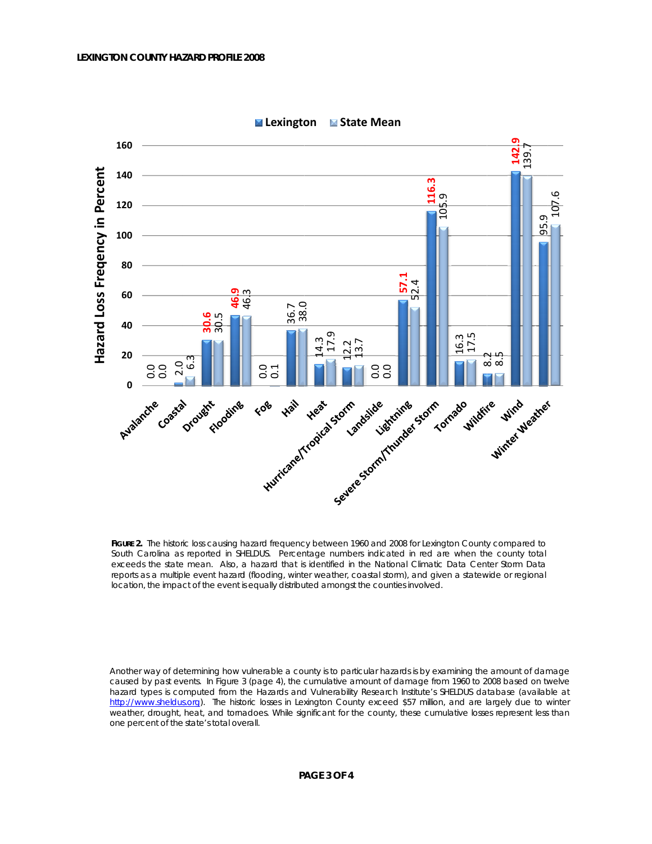

**■ Lexington** ■ State Mean

FIGURE 2. The historic loss causing hazard frequency between 1960 and 2008 for Lexington County compared to South Carolina as reported in SHELDUS. Percentage numbers indicated in red are when the county total exceeds the state mean. Also, a hazard that is identified in the National Climatic Data Center Storm Data reports as a multiple event hazard (flooding, winter weather, coastal storm), and given a statewide or regional location, the impact of the event is equally distributed amongst the counties involved.

Another way of determining how vulnerable a county is to particular hazards is by examining the amount of damage caused by past events. In Figure 3 (page 4), the cumulative amount of damage from 1960 to 2008 based on twelve hazard types is computed from the Hazards and Vulnerability Research Institute's SHELDUS database (available at http://www.sheldus.org). The historic losses in Lexington County exceed \$57 million, and are largely due to winter weather, drought, heat, and tornadoes. While significant for the county, these cumulative losses represent less than one percent of the state's total overall.